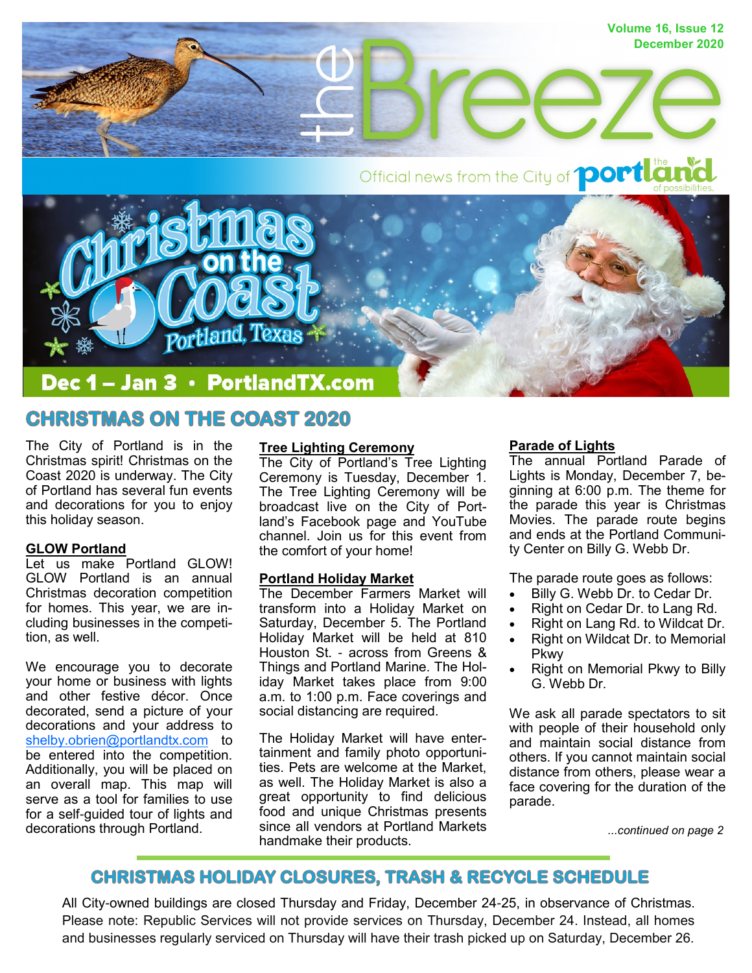

# **CHRISTMAS ON THE COAST 2020**

The City of Portland is in the Christmas spirit! Christmas on the Coast 2020 is underway. The City of Portland has several fun events and decorations for you to enjoy this holiday season.

### **GLOW Portland**

Let us make Portland GLOW! GLOW Portland is an annual Christmas decoration competition for homes. This year, we are including businesses in the competition, as well.

We encourage you to decorate your home or business with lights and other festive décor. Once decorated, send a picture of your decorations and your address to shelby.obrien@portlandtx.com to be entered into the competition. Additionally, you will be placed on an overall map. This map will serve as a tool for families to use for a self-guided tour of lights and decorations through Portland.

#### **Tree Lighting Ceremony**

The City of Portland's Tree Lighting Ceremony is Tuesday, December 1. The Tree Lighting Ceremony will be broadcast live on the City of Portland's Facebook page and YouTube channel. Join us for this event from the comfort of your home!

#### **Portland Holiday Market**

The December Farmers Market will transform into a Holiday Market on Saturday, December 5. The Portland Holiday Market will be held at 810 Houston St. - across from Greens & Things and Portland Marine. The Holiday Market takes place from 9:00 a.m. to 1:00 p.m. Face coverings and social distancing are required.

The Holiday Market will have entertainment and family photo opportunities. Pets are welcome at the Market, as well. The Holiday Market is also a great opportunity to find delicious food and unique Christmas presents since all vendors at Portland Markets handmake their products.

#### **Parade of Lights**

The annual Portland Parade of Lights is Monday, December 7, beginning at 6:00 p.m. The theme for the parade this year is Christmas Movies. The parade route begins and ends at the Portland Community Center on Billy G. Webb Dr.

The parade route goes as follows:

- Billy G. Webb Dr. to Cedar Dr.
- Right on Cedar Dr. to Lang Rd.
- Right on Lang Rd. to Wildcat Dr.
- Right on Wildcat Dr. to Memorial Pkwy
- Right on Memorial Pkwy to Billy G. Webb Dr.

We ask all parade spectators to sit with people of their household only and maintain social distance from others. If you cannot maintain social distance from others, please wear a face covering for the duration of the parade.

*...continued on page 2*

# **CHRISTMAS HOLIDAY CLOSURES, TRASH & RECYCLE SCHEDULE**

All City-owned buildings are closed Thursday and Friday, December 24-25, in observance of Christmas. Please note: Republic Services will not provide services on Thursday, December 24. Instead, all homes and businesses regularly serviced on Thursday will have their trash picked up on Saturday, December 26.